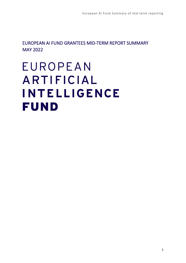EUROPEAN AI FUND GRANTEES MID-TERM REPORT SUMMARY MAY 2022

# **EUROPEAN** ARTIFICIAL **INTELLIGENCE FUND**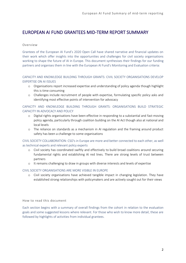## EUROPEAN AI FUND GRANTEES MID-TERM REPORT SUMMARY

## Overview

Grantees of the European AI Fund's 2020 Open Call have shared narrative and financial updates on their work which offer insights into the opportunities and challenges for civil society organisations working to shape the future of AI in Europe. This document synthesises their findings for our funding partners and organises them in line with the European AI Fund's Monitoring and Evaluation criteria:

## CAPACITY AND KNOWLEDGE BUILDING THROUGH GRANTS: CIVIL SOCIETY ORGANISATIONS DEVELOP EXPERTISE ON AI ISSUES

- o Organisations report increased expertise and understanding of policy agenda though highlight this is time consuming
- o Challenges include recruitment of people with expertise, formulating specific policy asks and identifying most effective points of intervention for advocacy

## CAPACITY AND KNOWLEDGE BUILDING THROUGH GRANTS: ORGANISATIONS BUILD STRATEGIC CAPACITY IN ADVOCACY AND POLICY

- o Digital rights organisations have been effective in responding to a substantial and fast-moving policy agenda, particularly through coalition building on the AI Act though also at national and local levels
- o The reliance on standards as a mechanism in AI regulation and the framing around product safety has been a challenge to some organisations

CIVIL SOCIETY COLLABORATION: CSO's in Europe are more and better connected to each other, as well as technical experts and relevant policy experts

- o Civil society has coordinated swiftly and effectively to build broad coalitions around securing fundamental rights and establishing AI red lines. There are strong levels of trust between partners
- o It remains challenging to draw in groups with diverse interests and levels of expertise

## CIVIL SOCIETY ORGANISATIONS ARE MORE VISIBLE IN EUROPE

o Civil society organisations have achieved tangible impact in changing legislation. They have established strong relationships with policymakers and are actively sought out for their views

How to read this document

Each section begins with a summary of overall findings from the cohort in relation to the evaluation goals and some suggested lessons where relevant. For those who wish to know more detail, these are followed by highlights of activities from individual grantees.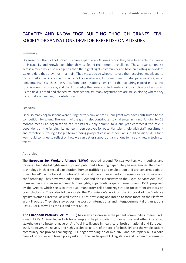# CAPACITY AND KNOWLEDGE BUILDING THROUGH GRANTS: CIVIL SOCIETY ORGANISATIONS DEVELOP EXPERTISE ON AI ISSUES

## Summary

Organisations that did not previously have expertise on AI issues report they have been able to increase their capacity and knowledge, although most found recruitment a challenge. These organisations sit across a much wider policy agenda than the digital rights community and have an existing network of stakeholders that they must maintain. They must decide whether to use their acquired knowledge to focus on AI aspects of subject specific policy debates e.g. European Health Data Space initiative, or on horizontal issues such as the AI Act. Some organisations highlighted that acquiring expertise on a new topic is a lengthy process, and that knowledge then needs to be translated into a policy position on AI. As the field is broad and shaped by intersectionality, many organisations are still exploring where they could make a meaningful contribution.

## Lessons

Since so many organisations were hiring for very similar profile, our grant may have contributed to the competition for talent. The length of the grants also contributes to challenges in hiring. Funding for 18 months means an organisation can realistically only commit to a one-year contract if the role is dependent on the funding. Longer-term perspectives for potential talent help with staff recruitment and retention. Offering a longer-term funding prospective is an aspect we should consider. As a fund we should continue to reflect on how we can better support organisations to hire and retain technical talent.

## Activities

The **European Sex Workers Alliance (ESWA)** reached around 70 sex workers via meetings and trainings, held digital rights meet-ups and published a briefing paper. They have examined the role of technology in child sexual exploitation, human trafficking and exploitation and are concerned about 'silver bullet' technological 'solutions' that could have unintended consequences for privacy and confidentiality. They have worked on the AI Act and also extensively on the Digital Services Act (DSA) to make they consider sex workers' human rights, in particular a specific amendment (1521) proposed by the Greens which seeks to introduce mandatory cell phone registration for content creators on porn platforms. They also follow closely the Commission's work on the Proposal of the Violence against Women Directive, as well as the EU Anti-trafficking and intend to focus more on the Platform Work Proposal. They also stay across the work of international and intergovernmental organizations (OSCE, CoE), as well as the EU and other NGOs.

The **European Patients Forum (EPF)** has seen an increase in the patient community's interest in AI issues. EPF's AI Knowledge Hub for example is helping patient organisations and other interested stakeholders to better engage on Artificial Intelligence in healthcare, both at national and European level. However, the novelty and highly technical nature of the topic for both EPF and the whole patient community has proved challenging. EPF began working on AI mid-2020 and has rapidly built a solid basis of principles and broad policy asks. But the landscape of EU legislation and frameworks remains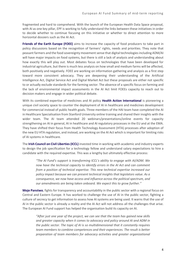fragmented and hard to comprehend. With the launch of the European Health Data Space proposal, with AI as one key pillar, EPF is working to fully understand the links between these initiatives in order to decide whether to continue focusing on this initiative or whether to direct attention to more horizontal dossiers such as the AI Act.

**Friends of the Earth Europe (FOEE)** aims to increase the capacity of food producers to take part in policy discussions based on the recognition of farmers' rights, needs and priorities. They note that peasant farmers and the food sovereignty movement sense that digital technologies including ADM/AI will have major impacts on food systems, but there is still a lack of analysis and understanding about how exactly this will play out. Most debates focus on technologies that have been developed for industrial agriculture, but there is much less analysis on how small and medium farms will be affected, both positively and negatively. FOEE are working on information gathering and analysis as a first step toward more consistent advocacy. They are deepening their understanding of the Artificial Intelligence Act, Digital Service Act and Digital Market Act but these proposals are either not specific to or actually exclude standards for the farming sector. The absence of a specific focus on farming and the lack of environmental impact assessments in the AI Act limit FOEEs capacity to reach out to decision makers and engage in wider political debate.

With its combined expertise of medicines and AI policy **Health Action International** is pioneering a unique civil society space to counter the deployment of AI in healthcare and medicines development for commercial instead of public health goals. Three members of the HAI team have completed the AI in Healthcare Specialisation from Stanford University online training and shared their insights with the wider team. The AI team attended 20 webinars/presentations/online events for capacity strengthening on AI in general, AI in healthcare and AI regulatory processes in the EU and at the EMA. They have shifted their focus from Health Technology Assessment (HTA) processes after adoption of the new EU HTA regulation, and instead, are working on the AI Act which is important for limiting risks of AI systems in healthcare.

The **Irish Council on Civil Liberties (ICCL)** invested time in working with academic and industry experts to design the job specification for a technology fellow and understand salary expectations to hire a candidate with the required expertise. This was a lengthy but ultimately effective process:

*"The AI Fund's support is transforming ICCL's ability to engage with AI/ADM. We now have the technical capacity to identify errors in the AI Act and can comment from a position of technical expertise. This new technical expertise increased our policy impact because we can present technical insights that legislators value. As a consequence, we now have access and influence across the political spectrum, and our amendments are being taken onboard. We expect this to grow further."*

**Moje Panstwo**, fights for transparency and accountability in the public sector with a regional focus on Central and Eastern Europe. It has worked to challenge the use of AI in the public sector, fighting a culture of secrecy to get information to assess how AI systems are being used. It warns that the use of AI in the public sector is already a reality and the AI Act will not address all the challenges that arise. The European AI Fund support has helped the organisation build its capacity on AI.

*"After just one year of the project, we can see that the team has gained new skills and greater capacity when it comes to advocacy and policy around AI and ADM in the public sector. The topic of AI is so multidimensional that it constantly requires team members to combine competences and their experiences. The result is better preparation of team members for advocacy activities and greater organizational*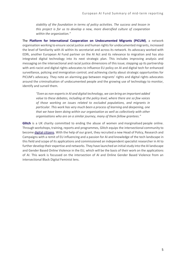*stability of the foundation in terms of policy activities. The success and lesson in this project is for us to develop a new, more diversified culture of cooperation within the organization."*

The **Platform for International Cooperation on Undocumented Migrants (PICUM)**, a network organisation working to ensure social justice and human rights for undocumented migrants, increased the level of familiarity with AI within its secretariat and across its network. Its advocacy worked with EDRi, another European AI Fund partner on the AI Act and its relevance to migration and has also integrated digital technology into its next strategic plan. This includes improving analysis and messaging on the intersectional and racial justice dimensions of this issue; stepping up its partnership with anti-racist and digital rights advocates to influence EU policy on AI and digital tech for enhanced surveillance, policing and immigration control; and achieving clarity about strategic opportunities for PICUM's advocacy. They note an alarming gap between migrants' rights and digital rights advocates around the criminalisation of undocumented people and the growing use of technology to monitor, identify and surveil them.

*"Even as non-experts in AI and digital technology, we can bring an important added value to these debates, including at the policy level, where there are so few voices of those working on issues related to excluded populations, and migrants in particular. This work has very much been a process of learning and deepening, one that we have been doing within our organisation as well as collectively with other organisations who are on a similar journey, many of them fellow grantees."*

**Glitch** is a UK charity committed to ending the abuse of women and marginalised people online. Through workshops, training, reports and programmes, Glitch equips the intersectional community to become [digital citizens.](https://fixtheglitch.org/digital-citizenship/digital-citizenship-our-definition/) With the help of our grant, they recruited a new Head of Policy, Research and Campaigns with a remit of EU influencing and a passion for AI and knowledge of the tech landscape in this field and scope of its applications and commissioned an independent specialist researcher in AI to further develop their expertise and networks. They have launched an initial study into the AI landscape and Gender Based Online Violence in the EU, which will be the basis of their work on the applications of AI. This work is focussed on the intersection of AI and Online Gender Based Violence from an intersectional Black Digital Feminist lens.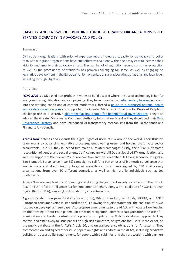## CAPACITY AND KNOWLEDGE BUILDING THROUGH GRANTS: ORGANISATIONS BUILD STRATEGIC CAPACITY IN ADVOCACY AND POLICY

## Summary

Civil society organisations with prior AI expertise report increased capacity for advocacy and policy thanks to our grant. Organisations have built effective coalitions within the ecosystem to increase their visibility and amplify their advocacy efforts. The framing of AI legislation around consumer protection as well as the prominence of standards has proven challenging for some. As well as engaging on legislative development in the European Union, organisations are advocating at national and local level, including through litigation.

## Activities

**FOXGLOVE** is a UK based non-profit that works to build a world where the use of technology is fair for everyone through litigation and campaigning. They have organised a [parliamentary hearing](https://www.irishtimes.com/news/social-affairs/outsourced-facebook-content-moderators-suffering-trauma-in-silence-1.4563113) in Ireland into the working conditions of content moderators, forced a [pause to a proposed national health](https://www.ft.com/content/99f440d7-1622-452d-a7ad-b40d84ac50ec)  [service data collection plan](https://www.ft.com/content/99f440d7-1622-452d-a7ad-b40d84ac50ec) and supported the Greater Manchester Coalition for Disabled People to challenge use of a secretive [algorithm flagging people for benefit fraud investigations.](https://www.theguardian.com/society/2021/nov/21/dwp-urged-to-reveal-algorithm-that-targets-disabled-for-benefit) They also advised the Greater Manchester Combined Authority Information Board as they developed thei[r Data](https://www.greatermanchester-ca.gov.uk/what-we-do/information-strategy/greater-manchester-information-strategy/)  [Governance Strategy](https://www.greatermanchester-ca.gov.uk/what-we-do/information-strategy/greater-manchester-information-strategy/) and have introduced AI transparency mechanisms from the Netherlands and Finland to UK councils.

**Access Now** defends and extends the digital rights of users at risk around the world. Their Brussels team works by advancing legislative processes, empowering users, and holding the private sector accountable. In 2021, they launched two major AI-related campaigns: firstly, their "Ban Automated recognition of gender and sexual orientation" campaign with All Out, a global LGBT+ organization, and with the support of the Reclaim Your Face coalition and the researcher Os Keyes; secondly, the global Ban Biometric Surveillance (#banBS) campaign to call for a ban on uses of biometric surveillance that enable mass and discriminatory targeted surveillance, which was signed by 194 civil society organisations from over 60 different countries, as well as high-profile individuals such as Joy Buolamwini.

Access Now was involved in coordinating and drafting the joint civil society statement on the EU's AI Act, 'An EU Artificial Intelligence Act for Fundamental Rights', along with a coalition of NGOs European Digital Rights (EDRi), Panoptykon Foundation, epicenter.works,

AlgorithmWatch, European Disability Forum (EDF), Bits of Freedom, Fair Trials, PICUM, and ANEC (European consumer voice in standardisation). Following this joint statement, the coalition of NGOs focused on developing 'issue papers' to propose amendments to the AI Act, with Access Now leading on the drafting of four issue papers: on emotion recognition, biometric categorisation, the use of AI in migration and border contexts and a proposal to update the AI Act's risk-based approach. They contributed extensively to issue papers on high-risk biometrics, obligations for 'users' in the AI Act, on the public database in the AI Act's Article 60, and on transparency obligations for AI systems. They commented on and signed other issue papers on rights and redress in the AI Act, including predictive policing and accessibility requirements for people with disabilities, and they are working with partners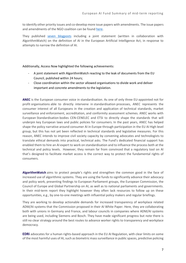to identify other priority issues and co-develop more issue papers with amendments. The issue papers and amendments of the NGO coalition can be found [here.](https://edri.org/our-work/the-eus-artificial-intelligence-act-civil-society-amendments/)

They published [seven blogposts](https://docs.google.com/document/d/1wP1fEbPp_AJZsZGIXqoHwWXJKPnB6YTZkFFajtyIOOA/edit) including a joint statement (written in collaboration with AlgorithmWatch) on the definition of AI in the European Artificial Intelligence Act, in response to attempts to narrow the definition of AI.

Additionally, Access Now highlighted the following achievements:

- A joint statement with AlgorithmWatch reacting to the leak of documents from the EU Council, published within 24 hours;
- Close coordination within the sector allowed organisations to divide work and deliver important and concrete amendments to the legislation.

**ANEC** is the European consumer voice in standardisation. As one of only three EU-appointed not for profit organisations able to directly intervene in standardisation processes, ANEC represents the consumer interest of all Europeans in the creation and application of technical standards, market surveillance and enforcement, accreditation, and conformity assessment schemes. ANEC works with European Standardisation bodies CEN-CENELEC and ETSI to directly shape the standards that will underpin key European laws and public policies for consumers. In the past years, ANEC has helped shape the policy narrative around consumer AI in Europe through participation in the EU AI High level group, but this has not yet been reflected in technical standards and legislative measures. For this reason, ANEC intends to improve civil society capacity by convening advocates and technologists to translate ethical demands into practical, technical asks. The Fund's dedicated financial support has enabled them to hire an AI expert to work on standardisation and to influence the process both at the technical and policy levels. However, they remain far from convinced that a regulatory tool on AI that's designed to facilitate market access is the correct way to protect the fundamental rights of consumers.

**AlgorithmWatch** aims to protect people's rights and strengthen the common good in the face of increased use of algorithmic systems. They are using the funds to significantly advance their advocacy and policy work, presenting findings to European Parliament groups, the European Commission, the Council of Europe and Global Partnership on AI, as well as to national parliaments and governments. In their mid-term report they highlight however they often lack resources to follow up on these opportunities, e.g., by one-to-one meetings with influential policy makers and regular briefings.

They are working to develop actionable demands for increased transparency of workplace related ADM/AI systems that the Commission proposed in their AI White Paper. Here, they are collaborating both with unions in Germany and France, and labour councils in companies where ADM/AI systems are being used, including Siemens and Bosch. They have made significant progress but note there is still no clear strategy around the best routes to advance worker rights to transparency and workplace democracy.

**EDRi** advocates for a human rights-based approach in the EU AI Regulation, with clear limits on some of the most harmful uses of AI, such as biometric mass surveillance in public spaces, predictive policing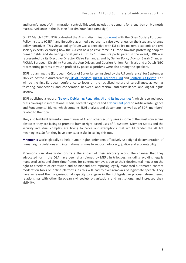and harmful uses of AI in migration control. This work includes the demand for a legal ban on biometric mass surveillance in the EU (the Reclaim Your Face campaign).

On 17 March 2022, EDRi co-hosted the AI and discrimination [event](https://events.euractiv.com/event/info/media-partnership-discrimination-and-surveillance-can-the-eu-artificial-intelligence-act-fix-injustice) with the Open Society European Policy Institute (OSEPI) and Euractive as a media partner to raise awareness on the issue and change policy narratives. This virtual policy forum was a deep dive with EU policy-makers, academic and civil society experts, exploring how the AIA can be a positive force in Europe towards protecting people's human rights and delivering social justice. Up to 15 panelists participated in the event, EDRi was represented by its Executive Director Claire Fernandez and by Senior Policy Advisor Sarah Chander. PICUM, European Disability Forum, the App Drivers and Couriers Union, Fair Trials and a Dutch NGO representing parents of youth profiled by police algorithms were also among the speakers.

EDRi is planning the (European) Colour of Surveillance (inspired by the US conference) for September 2022 co-hosted in Amsterdam by [Bits of Freedom,](https://www.bitsoffreedom.nl/) [Digital Freedom Fund](https://digitalfreedomfund.org/) and [Controle Alt Delete.](https://controlealtdelete.nl/) This will be the first European conference to focus on the racialised nature of surveillance, as well as fostering connections and cooperation between anti-racism, anti-surveillance and digital rights groups.

EDRi published a report, "[Beyond Debiasing: Regulating AI and its inequalities](https://edri.org/our-work/if-ai-is-the-problem-is-debiasing-the-solution/)", which received good press coverage in international media, several blogposts and a [document pool](https://edri.org/our-work/artificial-intelligence-and-fundamental-rights-document-pool/) on Artificial Intelligence and Fundamental Rights, which contains EDRi analysis and documents (as well as of EDRi members) related to the topic.

They also highlight law enforcement uses of AI and other security uses as some of the most concerning obstacles they are facing to promote human right-based uses of AI systems. Member States and the security industrial complex are trying to carve out exemptions that would render the AI Act meaningless. So far, they have been successful in calling this out.

**Mnemonic** works globally to help human rights defenders effectively use digital documentation of human rights violations and international crimes to support advocacy, justice and accountability.

Mnemonic can already demonstrate the impact of their advocacy work. The changes that they advocated for in the DSA have been championed by MEPs in trilogues, including avoiding legally mandated strict and short time frames for content removals due to their detrimental impact on the right to freedom of expression and opinionand not imposing legally mandated automated content moderation tools on online platforms, as this will lead to over-removals of legitimate speech. They have increased their organisational capacity to engage in the EU legislative process, strengthened relationships with other European civil society organisations and institutions, and increased their visibility.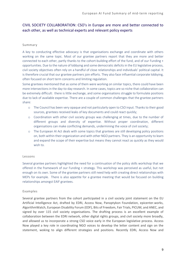## CIVIL SOCIETY COLLABORATION: CSO's in Europe are more and better connected to each other, as well as technical experts and relevant policy experts

## Summary

A key to conducting effective advocacy is that organisations exchange and coordinate with others working on the same topic. Most of our grantee partners report that they are more and better connected to each other, partly thanks to the cohort-building effort of the fund, and of our Funding + opportunities. Due to the nature of lobbying and some democratic deficits in the EU legislative process, civil society objectives often rely on a handful of close relationships and individuals' political capital. It is therefore crucial that our grantee partners join efforts. They also face influential corporate lobbying, often focused on short term concerns and limiting regulation.

Some grantees mentioned that as some of them were working on similar topics, there could have been more intersections in the day-to-day research. In some cases, topics are so niche that collaboration can be extremely difficult: there is little exchange, and some organisations struggle to formulate positions due to lack of available expertise. There are a couple of common challenges that the grantee partners share:

- o The Council has been very opaque and not particularly open to CSO input. Thanks to their good sources, grantees received leaks of key documents and could react quickly;
- o Coordination with other civil society groups was challenging at times, due to the number of different groups and diversity of expertise. Without proper coordination, different organisations can make conflicting demands, undermining the voice of civil society;
- o The European AI Act deals with some topics that grantees are still developing policy positions on, both within their organization and with other NGO partners. They is an opportunity to learn and expand the scope of their expertise but means they cannot react as quickly as they would wish to.

## Lessons

Several grantee partners highlighted the need for a continuation of the policy skills workshop that we offered in the framework of our Funding + strategy. This workshop was perceived as useful, but not enough on its own. Some of the grantee partners still need help with creating direct relationships with MEPs for example. There is also appetite for a grantee meeting that would be focused on building relationships amongst EAIF grantees.

## Examples

Several grantee partners from the cohort participated in a civil society joint statement on the EU Artificial Intelligence Act, drafted by EDRi, Access Now, Panoptykon Foundation, epicenter.works, AlgorithmWatch, European Disability Forum (EDF), Bits of Freedom, Fair Trials, PICUM, and ANEC, and signed by over 115 civil society organisations. The drafting process is an excellent example of collaboration between the EDRi network, other digital rights groups, and civil society more broadly, and allowed us to incorporate a strong CSO voice early in the European legislative process. Access Now played a key role in coordinating NGO voices to develop the letter content and sign on the statement, woking to align different strategies and positions. Recently EDRi, Access Now and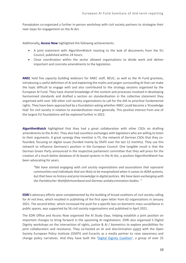Panoptykon co-organized a further in-person workshop with civil society partners to strategise their next steps for engagement on the AI Act.

Additionally**, Access Now** highlighted the following achievements:

- A joint statement with AlgorithmWatch reacting to the leak of documents from the EU Council, published within 24 hours;
- Close coordination within the sector allowed organisations to divide work and deliver important and concrete amendments to the legislation.

**ANEC** held five capacity building webinars for ANEC staff, BEUC, as well as the AI Fund grantees, introducing a useful definition of AI and explaining the myths and jargon surrounding AI that can make the topic difficult to engage with and also contributed to the strategy sessions organised by the European AI Fund. They have shared knowledge of the content and processes involved in developing harmonised standards and drafted a section on standardisation in the collective statement they organised with over 100 other civil society organisations to call for the AIA to prioritise fundamental rights. They have been approached by a foundation asking whether ANEC could become a 'Knowledge Hub' for civil society in relation to standardisation more generally. This positive interest from one of the largest EU foundations will be explored further in 2022.

**AlgorithmWatch** highlighted that they had a great collaboration with other CSOs on drafting amendments to the AI Act. They also had countless exchanges with legislators who are willing to listen to their arguments. A great synergy they mention is F5, the network of German CSOs that they cofounded, focusing on digital issues (funded mainly by OSIFE over the last 12 months). They use this network to influence Germany's position in the European Council. One tangible result is that the German Green Party announced in the respective parliament committee that they will press for the creation of a much better database of AI-based systems in the AI Act, a position AlgorithmWatch has been advocating for years.

*"We have started engaging with civil society organizations and associations that represent communities and individuals that are likely to be marginalized when it comes to ADM systems, but that have no history and prior knowledge in digital policies. We have been exchanging with the Paritätischer Wohlfahrtsverband and German antidiscrimination bodies. "*

**EDRi**'s advocacy efforts were complemented by the building of broad coalitions of civil society calling for AI red lines, which resulted in publishing of the first open letter from 62 organisations in January 2021. The second letter, which increased the push for a specific ban on biometric mass surveillance in public spaces, was supported by 56 civil society organisations and published in April 2021.

The EDRi Office and Access Now organised the AI Study Days, helping establish a joint position on important changes to bring forward in the upcoming AI negotiations. EDRi also organised 5 Digital Dignity workshops on the intersection of rights, justice & AI / biometrics to explore possibilities for joint collaboration and resistance. They co-hosted an AI and discrimination [event](https://events.euractiv.com/event/info/media-partnership-discrimination-and-surveillance-can-the-eu-artificial-intelligence-act-fix-injustice) with the Open Society European Policy Institute (OSEPI) and Euractiv as a media partner to raise awareness and change policy narratives. And they have built the '[Digital Dignity Coalition](https://edri.org/our-work/building-a-coalition-for-digital-dignity/)', a group of over 25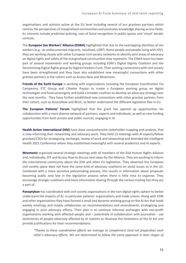organisations and activists active at the EU level including several of our grantees partners which centres the perspectives of marginalised communities and promotes knowledge sharing across fields. Its interests include predictive policing, uses of facial recognition in public spaces and 'smart' border controls.

The **European Sex Workers' Alliance (ESWA)** highlighted that due to the overlapping identities of sex workers (e.g.: as undocumented migrants, racialised, LGBTI, Roma people and people living with HIV), they are working closely with other European civil society networks to identify joint areas of advocacy on digital rights and safety of the marginalised communities they represent. The ESWA team has been part of several movements and working groups including EDRi's Digital Dignity Coalition and the Decolonising Digital Rights group by Digital Freedom Fund. Their existing connections with civil society have been strengthened and they have also established new meaningful connections with other grantee partners in the cohort such as Access Now and Mnemonic.

**Friends of the Earth Europe** is working with organisations including the European Coordination Via Campesina, ETC Group and L'Atelier Paysan to create a European working group on digital technologies and food sovereignty and build a broader coalition to develop an advocacy strategy over the next months. They have further established new connections with other grantee partners from their cohort, such as AccessNow and BEUC, to better understand the different legislative files in EU.

**The European Patients' Forum** highlighted that the grant has opened up opportunities for collaboration with a more diverse network of partners, experts and individuals, as well as new funding opportunities from both private and public sources, engaging in AI.

**Health Action International (HAI)** have done comprehensive stakeholder mapping and analysis, that is now informing their networking and advocacy work. They held 13 meetings with AI experts/fellow grantees/CSOs for strategizing, exchange, review of work and networking and attended the Intelligent Health 2021 Conference where they established meaningful with several academics and AI experts.

**Mnemonic** organised several strategic meetings with all members of the DSA Human Rights Alliance and, individually, EFF and Access Now to discuss next steps for the Alliance. They are working to inform the international community about the DSA and other EU legislation. They observed the European civil society space does not have the same kind of advocacy coalitions on social issues as in the US. Combined with a more secretive policymaking process, this results in information about proposals becoming public only late in the legislative process when there is little time to organise. They encourage stronger coalitions and more information sharing through the various mailing lists they are a part of.

**Panoptykon** has coordinated with civil society organisations in the non-digital rights sphere to better understand the impacts of AI, in particular patients' organisations and trade unions. Along with EDRi and other organisations they have formed a small and dynamic working group on the AI Act that holds weekly meetings and closely collaborates on recommendations and amendments, strategizing and engaging in joint advocacy efforts. Their plan is to continue informal exchanges with non-profit organisations working with affected people and – potentially in collaboration with journalists - use testimonies of people adversely affected by AI systems to illustrate the limitations of the AI Act and provide justifications for their recommendations.

*"Thanks to these coordination efforts we manage to complement (and not jeopardise) each other's advocacy efforts. We are determined to follow the same approach in later stages of*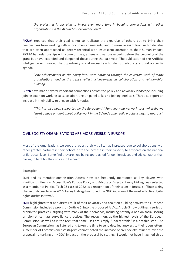*the project. It is our plan to invest even more time in building connections with other organisations in the AI Fund cohort and beyond".*

**PICUM** reported that their goal is not to replicate the expertise of others but to bring their perspectives from working with undocumented migrants, and to make relevant links within debates that are often approached as deeply technical with insufficient attention to their human impact. PICUM had relationships with some of the grantees and various experts before the beginning of the grant but have extended and deepened these during the past year. The publication of the Artificial Intelligence Act created the opportunity  $-$  and necessity  $-$  to step up advocacy around a specific agenda.

*"Any achievements on the policy level were obtained through the collective work of many organisations, and in this sense reflect achievements in collaboration and relationshipbuilding".* 

**Glitch** have made several important connections across the policy and advocacy landscape including joining coalition working calls, collaborating on panel talks and joining intel calls. They also report an increase in their ability to engage with AI topics.

*"This has also been supported by the European AI Fund learning network calls, whereby we learnt a huge amount about policy work in the EU and some really practical ways to approach it".*

## CIVIL SOCIETY ORGANISATIONS ARE MORE VISIBLE IN EUROPE

Most of the organisations we support report their visibility has increased due to collaborations with other grantee partners in their cohort, or to the increase in their capacity to advocate on the national or European level. Some find they are now being approached for opinion pieces and advice, rather than having to fight for their voices to be heard.

## Examples

EDRi and its member organisation Access Now are frequently mentioned as key players with significant influence. Access Now's Europe Policy and Advocacy Director Fanny Hidvegi was selected as a member of Politico Tech 28 class of 2022 as a recognition of their team in Brussels. "Since taking charge of Access Now in 2016, Fanny Hidvegi has honed the NGO into one of the most effective digital rights outfits in town".

**EDRI** highlighted that as a direct result of their advocacy and coalition building activity, the European Commission included a provision (Article 5) into the proposed AI Act. Article 5 now outlines a series of prohibited practices, aligning with many of their demands, including notably a ban on social scoring on biometrics mass surveillance practices. The recognition, at the highest levels of the European Commission, as well as in the text, that some uses are simply "unacceptable" is a notable step. The European Commission has listened and taken the time to send detailed answers to their open letters. A member of Commissioner Vestager's cabinet noted the increase of civil society influence over the proposal, remarking on NGOs' impact on the proposal by stating: "I would not have imagined this a